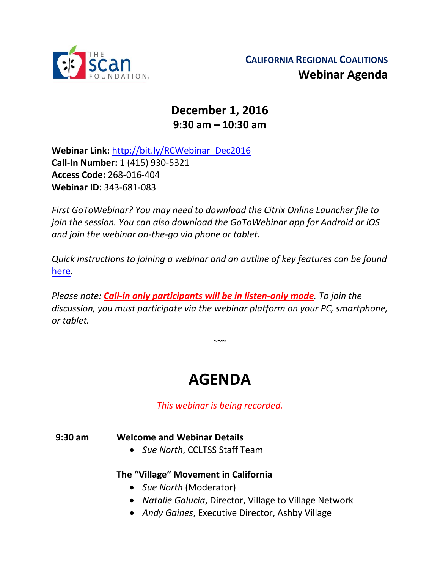

# **December 1, 2016 9:30 am – 10:30 am**

**Webinar Link:** [http://bit.ly/RCWebinar\\_Dec2016](http://bit.ly/RCWebinar_Dec2016) **Call-In Number:** 1 (415) 930-5321 **Access Code:** 268-016-404 **Webinar ID:** 343-681-083

*First GoToWebinar? You may need to download the Citrix Online Launcher file to join the session. You can also download the GoToWebinar app for Android or iOS and join the webinar on-the-go via phone or tablet.* 

*Quick instructions to joining a webinar and an outline of key features can be found*  [here](http://thescanfoundationsummit.homestead.com/GoToWebinar_Participant_Guide_3.pdf)*.*

*Please note: Call-in only participants will be in listen-only mode. To join the discussion, you must participate via the webinar platform on your PC, smartphone, or tablet.* 

 $\sim$   $\sim$ 

# **AGENDA**

*This webinar is being recorded.*

#### **9:30 am Welcome and Webinar Details**

*Sue North*, CCLTSS Staff Team

## **The "Village" Movement in California**

- *Sue North* (Moderator)
- *Natalie Galucia*, Director, Village to Village Network
- *Andy Gaines*, Executive Director, Ashby Village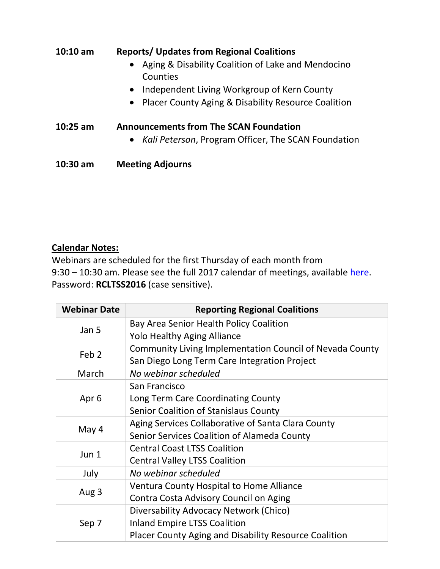| $10:10$ am | <b>Reports/ Updates from Regional Coalitions</b><br>Aging & Disability Coalition of Lake and Mendocino<br>Counties<br>• Independent Living Workgroup of Kern County<br>• Placer County Aging & Disability Resource Coalition |
|------------|------------------------------------------------------------------------------------------------------------------------------------------------------------------------------------------------------------------------------|
| $10:25$ am | <b>Announcements from The SCAN Foundation</b><br>• <i>Kali Peterson</i> , Program Officer, The SCAN Foundation                                                                                                               |
| $10:30$ am | <b>Meeting Adjourns</b>                                                                                                                                                                                                      |

### **Calendar Notes:**

Webinars are scheduled for the first Thursday of each month from 9:30 – 10:30 am. Please see the full 2017 calendar of meetings, available [here.](http://www.ccltss.org/regional-coalition-meeting-materials/) Password: **RCLTSS2016** (case sensitive).

| <b>Webinar Date</b> | <b>Reporting Regional Coalitions</b>                                                                                                   |
|---------------------|----------------------------------------------------------------------------------------------------------------------------------------|
| Jan 5               | Bay Area Senior Health Policy Coalition<br><b>Yolo Healthy Aging Alliance</b>                                                          |
| Feb <sub>2</sub>    | Community Living Implementation Council of Nevada County<br>San Diego Long Term Care Integration Project                               |
| March               | No webinar scheduled                                                                                                                   |
| Apr <sub>6</sub>    | San Francisco<br>Long Term Care Coordinating County<br>Senior Coalition of Stanislaus County                                           |
| May 4               | Aging Services Collaborative of Santa Clara County<br>Senior Services Coalition of Alameda County                                      |
| Jun 1               | <b>Central Coast LTSS Coalition</b><br><b>Central Valley LTSS Coalition</b>                                                            |
| July                | No webinar scheduled                                                                                                                   |
| Aug 3               | Ventura County Hospital to Home Alliance<br>Contra Costa Advisory Council on Aging                                                     |
| Sep 7               | Diversability Advocacy Network (Chico)<br><b>Inland Empire LTSS Coalition</b><br>Placer County Aging and Disability Resource Coalition |